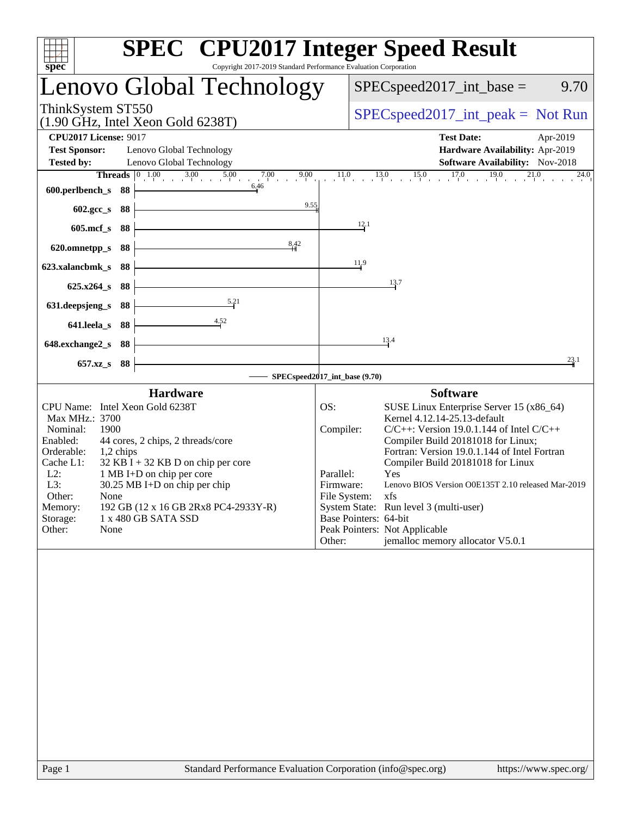| Copyright 2017-2019 Standard Performance Evaluation Corporation<br>spec <sup>®</sup>                                                                                                                                                                                                                                                                                                                                                                                                                                             | <b>SPEC<sup>®</sup></b> CPU2017 Integer Speed Result                                                                                                                                                                                                                                                                                                                                                                                                                                                                                     |
|----------------------------------------------------------------------------------------------------------------------------------------------------------------------------------------------------------------------------------------------------------------------------------------------------------------------------------------------------------------------------------------------------------------------------------------------------------------------------------------------------------------------------------|------------------------------------------------------------------------------------------------------------------------------------------------------------------------------------------------------------------------------------------------------------------------------------------------------------------------------------------------------------------------------------------------------------------------------------------------------------------------------------------------------------------------------------------|
| Lenovo Global Technology                                                                                                                                                                                                                                                                                                                                                                                                                                                                                                         | $SPEC speed2017\_int\_base =$<br>9.70                                                                                                                                                                                                                                                                                                                                                                                                                                                                                                    |
| ThinkSystem ST550<br>$(1.90$ GHz, Intel Xeon Gold 6238T)                                                                                                                                                                                                                                                                                                                                                                                                                                                                         | $SPEC speed2017\_int\_peak = Not Run$                                                                                                                                                                                                                                                                                                                                                                                                                                                                                                    |
| <b>CPU2017 License: 9017</b><br><b>Test Sponsor:</b><br>Lenovo Global Technology<br><b>Tested by:</b><br>Lenovo Global Technology<br><b>Threads</b> $\begin{array}{ccc} 0 & 1.00 & 3.00 & 5.00 \\ 1 & 0 & 3.00 & 5.00 \\ 0 & 0 & 0 & 0.00 \\ 0 & 0 & 0 & 0.00 \\ 0 & 0 & 0 & 0.00 \\ 0 & 0 & 0 & 0.00 \\ 0 & 0 & 0 & 0.00 \\ 0 & 0 & 0 & 0.00 \\ 0 & 0 & 0 & 0 & 0.0 \\ 0 & 0 & 0 & 0 & 0.0 \\ 0 & 0 & 0 & 0 & 0 & 0.0 \\ 0 & 0 & 0 & 0 & 0 & 0.0 \\$<br>7.00<br>9.00<br>$\begin{array}{ccc} 1 & 0 & 0 \\ 1 & 1 & 1 \end{array}$ | <b>Test Date:</b><br>Apr-2019<br>Hardware Availability: Apr-2019<br>Software Availability: Nov-2018<br>$11.0$ $13.0$ $15.0$ $17.0$ $19.0$ $21.0$<br>24.0                                                                                                                                                                                                                                                                                                                                                                                 |
| 6.46<br>600.perlbench_s<br>- 88                                                                                                                                                                                                                                                                                                                                                                                                                                                                                                  |                                                                                                                                                                                                                                                                                                                                                                                                                                                                                                                                          |
| 9.55<br>602.gcc_s<br>- 88<br>$605$ .mcf_s<br>88                                                                                                                                                                                                                                                                                                                                                                                                                                                                                  | 12.1                                                                                                                                                                                                                                                                                                                                                                                                                                                                                                                                     |
| 8.42<br>620.omnetpp_s<br>88                                                                                                                                                                                                                                                                                                                                                                                                                                                                                                      |                                                                                                                                                                                                                                                                                                                                                                                                                                                                                                                                          |
| 88<br>623.xalancbmk s                                                                                                                                                                                                                                                                                                                                                                                                                                                                                                            | 11,9                                                                                                                                                                                                                                                                                                                                                                                                                                                                                                                                     |
| $625.x264$ s<br>-88                                                                                                                                                                                                                                                                                                                                                                                                                                                                                                              | 13.7                                                                                                                                                                                                                                                                                                                                                                                                                                                                                                                                     |
| 5.21<br>631.deepsjeng_s<br>88                                                                                                                                                                                                                                                                                                                                                                                                                                                                                                    |                                                                                                                                                                                                                                                                                                                                                                                                                                                                                                                                          |
| 641.leela_s<br>88<br>648.exchange2_s<br>-88                                                                                                                                                                                                                                                                                                                                                                                                                                                                                      | 13.4                                                                                                                                                                                                                                                                                                                                                                                                                                                                                                                                     |
| $657.xz$ <sub>S</sub><br>-88                                                                                                                                                                                                                                                                                                                                                                                                                                                                                                     | 23.1                                                                                                                                                                                                                                                                                                                                                                                                                                                                                                                                     |
| <b>Hardware</b>                                                                                                                                                                                                                                                                                                                                                                                                                                                                                                                  | SPECspeed2017_int_base (9.70)<br><b>Software</b>                                                                                                                                                                                                                                                                                                                                                                                                                                                                                         |
| CPU Name: Intel Xeon Gold 6238T<br>Max MHz.: 3700<br>1900<br>Nominal:<br>Enabled:<br>44 cores, 2 chips, 2 threads/core<br>Orderable:<br>1,2 chips<br>Cache L1:<br>$32$ KB I + 32 KB D on chip per core<br>$L2$ :<br>1 MB I+D on chip per core<br>L3:<br>$30.25 \text{ MB}$ I+D on chip per chip<br>Other:<br>None<br>Memory:<br>192 GB (12 x 16 GB 2Rx8 PC4-2933Y-R)<br>Storage:<br>1 x 480 GB SATA SSD<br>Other:<br>None                                                                                                        | OS:<br>SUSE Linux Enterprise Server 15 (x86_64)<br>Kernel 4.12.14-25.13-default<br>$C/C++$ : Version 19.0.1.144 of Intel $C/C++$<br>Compiler:<br>Compiler Build 20181018 for Linux;<br>Fortran: Version 19.0.1.144 of Intel Fortran<br>Compiler Build 20181018 for Linux<br>Parallel:<br>Yes<br>Lenovo BIOS Version O0E135T 2.10 released Mar-2019<br>Firmware:<br>File System:<br>xfs<br>System State: Run level 3 (multi-user)<br>Base Pointers: 64-bit<br>Peak Pointers: Not Applicable<br>jemalloc memory allocator V5.0.1<br>Other: |
|                                                                                                                                                                                                                                                                                                                                                                                                                                                                                                                                  |                                                                                                                                                                                                                                                                                                                                                                                                                                                                                                                                          |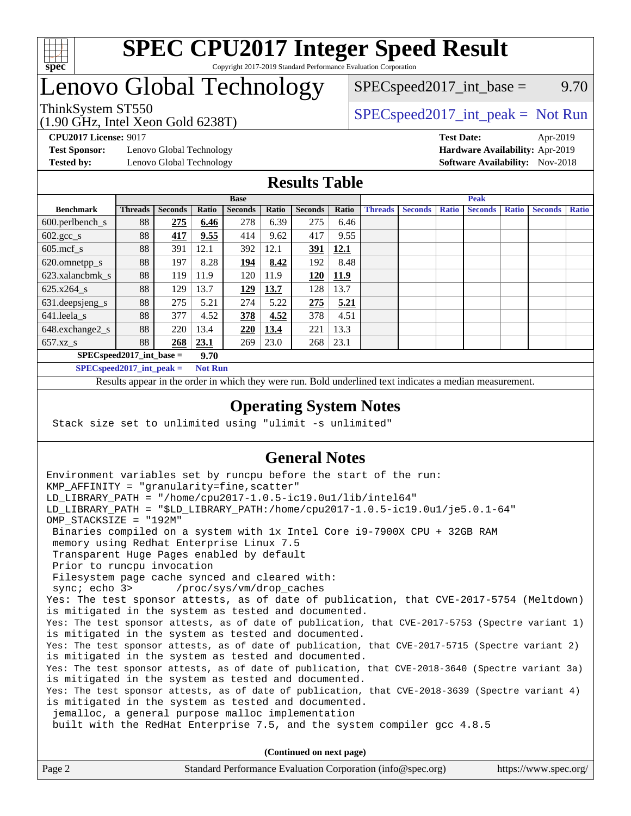

## Lenovo Global Technology

(1.90 GHz, Intel Xeon Gold 6238T)

 $SPEC speed2017\_int\_base =$  9.70

## ThinkSystem ST550  $SPEC speed2017\_int\_peak = Not Run$

**[Test Sponsor:](http://www.spec.org/auto/cpu2017/Docs/result-fields.html#TestSponsor)** Lenovo Global Technology **[Hardware Availability:](http://www.spec.org/auto/cpu2017/Docs/result-fields.html#HardwareAvailability)** Apr-2019

**[CPU2017 License:](http://www.spec.org/auto/cpu2017/Docs/result-fields.html#CPU2017License)** 9017 **[Test Date:](http://www.spec.org/auto/cpu2017/Docs/result-fields.html#TestDate)** Apr-2019 **[Tested by:](http://www.spec.org/auto/cpu2017/Docs/result-fields.html#Testedby)** Lenovo Global Technology **[Software Availability:](http://www.spec.org/auto/cpu2017/Docs/result-fields.html#SoftwareAvailability)** Nov-2018

## **[Results Table](http://www.spec.org/auto/cpu2017/Docs/result-fields.html#ResultsTable)**

|                                    | <b>Base</b>    |                |       |                | <b>Peak</b> |                |       |                |                |              |                |              |                |              |
|------------------------------------|----------------|----------------|-------|----------------|-------------|----------------|-------|----------------|----------------|--------------|----------------|--------------|----------------|--------------|
| <b>Benchmark</b>                   | <b>Threads</b> | <b>Seconds</b> | Ratio | <b>Seconds</b> | Ratio       | <b>Seconds</b> | Ratio | <b>Threads</b> | <b>Seconds</b> | <b>Ratio</b> | <b>Seconds</b> | <b>Ratio</b> | <b>Seconds</b> | <b>Ratio</b> |
| 600.perlbench_s                    | 88             | 275            | 6.46  | 278            | 6.39        | 275            | 6.46  |                |                |              |                |              |                |              |
| $602.\text{gcc}\_\text{s}$         | 88             | 417            | 9.55  | 414            | 9.62        | 417            | 9.55  |                |                |              |                |              |                |              |
| $605$ .mcf s                       | 88             | 391            | 12.1  | 392            | 12.1        | 391            | 12.1  |                |                |              |                |              |                |              |
| 620.omnetpp_s                      | 88             | 197            | 8.28  | <u> 194</u>    | 8.42        | 192            | 8.48  |                |                |              |                |              |                |              |
| 623.xalancbmk s                    | 88             | 119            | 11.9  | 120            | 11.9        | 120            | 11.9  |                |                |              |                |              |                |              |
| 625.x264 s                         | 88             | 129            | 13.7  | <u>129</u>     | 13.7        | 128            | 13.7  |                |                |              |                |              |                |              |
| 631.deepsjeng_s                    | 88             | 275            | 5.21  | 274            | 5.22        | 275            | 5.21  |                |                |              |                |              |                |              |
| 641.leela s                        | 88             | 377            | 4.52  | 378            | 4.52        | 378            | 4.51  |                |                |              |                |              |                |              |
| 648.exchange2_s                    | 88             | 220            | 13.4  | 220            | 13.4        | 221            | 13.3  |                |                |              |                |              |                |              |
| 657.xz s                           | 88             | 268            | 23.1  | 269            | 23.0        | 268            | 23.1  |                |                |              |                |              |                |              |
| $SPECspeed2017$ int base =<br>9.70 |                |                |       |                |             |                |       |                |                |              |                |              |                |              |

**[SPECspeed2017\\_int\\_peak =](http://www.spec.org/auto/cpu2017/Docs/result-fields.html#SPECspeed2017intpeak) Not Run**

Results appear in the [order in which they were run.](http://www.spec.org/auto/cpu2017/Docs/result-fields.html#RunOrder) Bold underlined text [indicates a median measurement.](http://www.spec.org/auto/cpu2017/Docs/result-fields.html#Median)

#### **[Operating System Notes](http://www.spec.org/auto/cpu2017/Docs/result-fields.html#OperatingSystemNotes)**

Stack size set to unlimited using "ulimit -s unlimited"

## **[General Notes](http://www.spec.org/auto/cpu2017/Docs/result-fields.html#GeneralNotes)**

Environment variables set by runcpu before the start of the run: KMP AFFINITY = "granularity=fine, scatter" LD\_LIBRARY\_PATH = "/home/cpu2017-1.0.5-ic19.0u1/lib/intel64" LD\_LIBRARY\_PATH = "\$LD\_LIBRARY\_PATH:/home/cpu2017-1.0.5-ic19.0u1/je5.0.1-64" OMP\_STACKSIZE = "192M" Binaries compiled on a system with 1x Intel Core i9-7900X CPU + 32GB RAM memory using Redhat Enterprise Linux 7.5 Transparent Huge Pages enabled by default Prior to runcpu invocation Filesystem page cache synced and cleared with: sync; echo 3> /proc/sys/vm/drop\_caches Yes: The test sponsor attests, as of date of publication, that CVE-2017-5754 (Meltdown) is mitigated in the system as tested and documented. Yes: The test sponsor attests, as of date of publication, that CVE-2017-5753 (Spectre variant 1) is mitigated in the system as tested and documented. Yes: The test sponsor attests, as of date of publication, that CVE-2017-5715 (Spectre variant 2) is mitigated in the system as tested and documented. Yes: The test sponsor attests, as of date of publication, that CVE-2018-3640 (Spectre variant 3a) is mitigated in the system as tested and documented. Yes: The test sponsor attests, as of date of publication, that CVE-2018-3639 (Spectre variant 4) is mitigated in the system as tested and documented. jemalloc, a general purpose malloc implementation built with the RedHat Enterprise 7.5, and the system compiler gcc 4.8.5 **(Continued on next page)**

| Page 2 | Standard Performance Evaluation Corporation (info@spec.org) | https://www.spec.org/ |
|--------|-------------------------------------------------------------|-----------------------|
|        |                                                             |                       |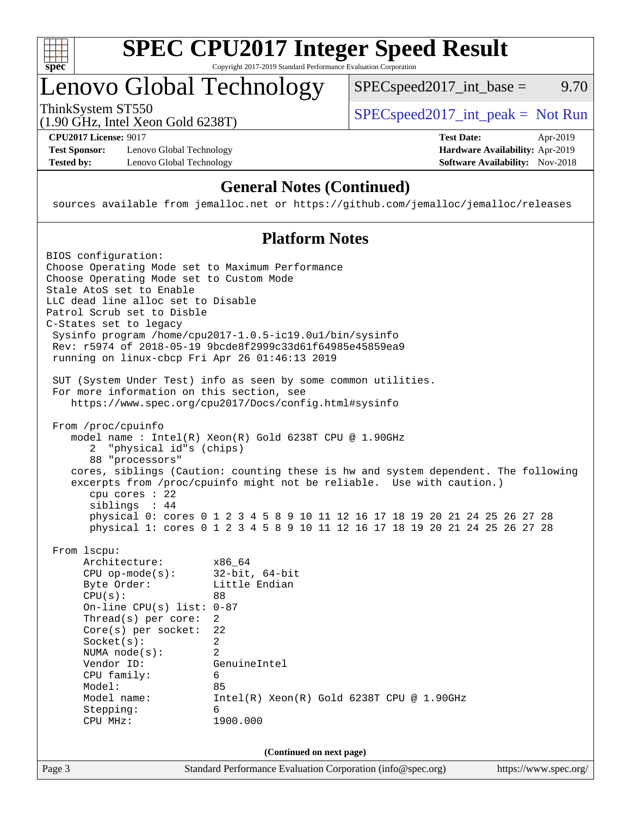

## Lenovo Global Technology

ThinkSystem ST550  $SPEC speed2017\_int\_peak = Not Run$ 

 $SPEC speed2017\_int\_base =$  9.70

(1.90 GHz, Intel Xeon Gold 6238T)

**[Test Sponsor:](http://www.spec.org/auto/cpu2017/Docs/result-fields.html#TestSponsor)** Lenovo Global Technology **[Hardware Availability:](http://www.spec.org/auto/cpu2017/Docs/result-fields.html#HardwareAvailability)** Apr-2019 **[Tested by:](http://www.spec.org/auto/cpu2017/Docs/result-fields.html#Testedby)** Lenovo Global Technology **[Software Availability:](http://www.spec.org/auto/cpu2017/Docs/result-fields.html#SoftwareAvailability)** Nov-2018

**[CPU2017 License:](http://www.spec.org/auto/cpu2017/Docs/result-fields.html#CPU2017License)** 9017 **[Test Date:](http://www.spec.org/auto/cpu2017/Docs/result-fields.html#TestDate)** Apr-2019

## **[General Notes \(Continued\)](http://www.spec.org/auto/cpu2017/Docs/result-fields.html#GeneralNotes)**

sources available from jemalloc.net or <https://github.com/jemalloc/jemalloc/releases>

## **[Platform Notes](http://www.spec.org/auto/cpu2017/Docs/result-fields.html#PlatformNotes)**

Page 3 Standard Performance Evaluation Corporation [\(info@spec.org\)](mailto:info@spec.org) <https://www.spec.org/> BIOS configuration: Choose Operating Mode set to Maximum Performance Choose Operating Mode set to Custom Mode Stale AtoS set to Enable LLC dead line alloc set to Disable Patrol Scrub set to Disble C-States set to legacy Sysinfo program /home/cpu2017-1.0.5-ic19.0u1/bin/sysinfo Rev: r5974 of 2018-05-19 9bcde8f2999c33d61f64985e45859ea9 running on linux-cbcp Fri Apr 26 01:46:13 2019 SUT (System Under Test) info as seen by some common utilities. For more information on this section, see <https://www.spec.org/cpu2017/Docs/config.html#sysinfo> From /proc/cpuinfo model name : Intel(R) Xeon(R) Gold 6238T CPU @ 1.90GHz 2 "physical id"s (chips) 88 "processors" cores, siblings (Caution: counting these is hw and system dependent. The following excerpts from /proc/cpuinfo might not be reliable. Use with caution.) cpu cores : 22 siblings : 44 physical 0: cores 0 1 2 3 4 5 8 9 10 11 12 16 17 18 19 20 21 24 25 26 27 28 physical 1: cores 0 1 2 3 4 5 8 9 10 11 12 16 17 18 19 20 21 24 25 26 27 28 From lscpu: Architecture: x86\_64 CPU op-mode(s): 32-bit, 64-bit Byte Order: Little Endian CPU(s): 88 On-line CPU(s) list: 0-87 Thread(s) per core: 2 Core(s) per socket: 22 Socket(s): 2 NUMA node(s): 2 Vendor ID: GenuineIntel CPU family: 6 Model: 85 Model name: Intel(R) Xeon(R) Gold 6238T CPU @ 1.90GHz Stepping: 6 CPU MHz: 1900.000 **(Continued on next page)**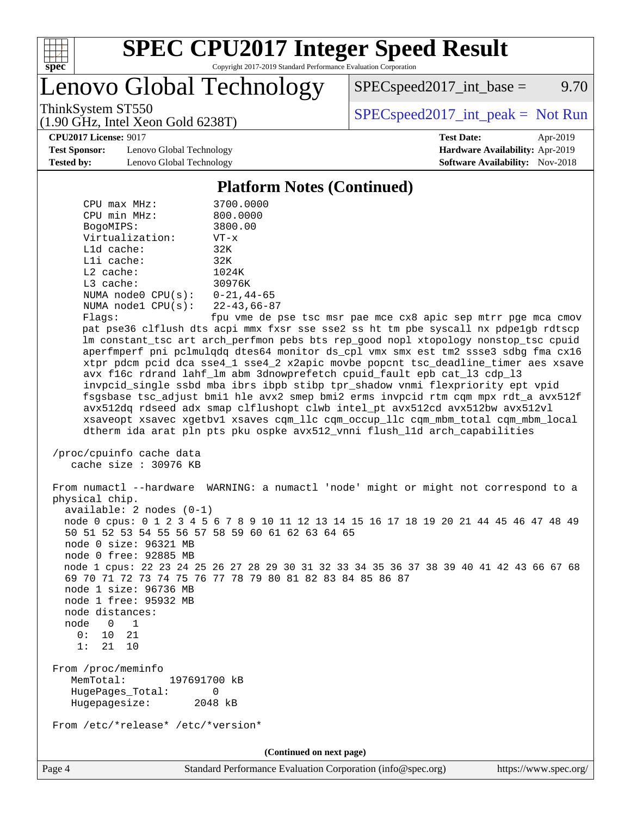

# **[SPEC CPU2017 Integer Speed Result](http://www.spec.org/auto/cpu2017/Docs/result-fields.html#SPECCPU2017IntegerSpeedResult)**

Copyright 2017-2019 Standard Performance Evaluation Corporation

Lenovo Global Technology

 $SPEC speed2017\_int\_base =$  9.70

(1.90 GHz, Intel Xeon Gold 6238T)

ThinkSystem ST550<br>(1.00 GHz, Intel Year Gald 6238T) [SPECspeed2017\\_int\\_peak =](http://www.spec.org/auto/cpu2017/Docs/result-fields.html#SPECspeed2017intpeak) Not Run

**[CPU2017 License:](http://www.spec.org/auto/cpu2017/Docs/result-fields.html#CPU2017License)** 9017 **[Test Date:](http://www.spec.org/auto/cpu2017/Docs/result-fields.html#TestDate)** Apr-2019

**[Test Sponsor:](http://www.spec.org/auto/cpu2017/Docs/result-fields.html#TestSponsor)** Lenovo Global Technology **[Hardware Availability:](http://www.spec.org/auto/cpu2017/Docs/result-fields.html#HardwareAvailability)** Apr-2019 **[Tested by:](http://www.spec.org/auto/cpu2017/Docs/result-fields.html#Testedby)** Lenovo Global Technology **[Software Availability:](http://www.spec.org/auto/cpu2017/Docs/result-fields.html#SoftwareAvailability)** Nov-2018

#### **[Platform Notes \(Continued\)](http://www.spec.org/auto/cpu2017/Docs/result-fields.html#PlatformNotes)**

| CPU max MHz:                                                                                                | 3700.0000                                                                                                                                                                                                                                                                                                                                                                                                                                                                                                                                                                                                                                                                                                                                                                                                                                                                                                                 |  |  |  |  |  |
|-------------------------------------------------------------------------------------------------------------|---------------------------------------------------------------------------------------------------------------------------------------------------------------------------------------------------------------------------------------------------------------------------------------------------------------------------------------------------------------------------------------------------------------------------------------------------------------------------------------------------------------------------------------------------------------------------------------------------------------------------------------------------------------------------------------------------------------------------------------------------------------------------------------------------------------------------------------------------------------------------------------------------------------------------|--|--|--|--|--|
| CPU min MHz:                                                                                                | 800.0000                                                                                                                                                                                                                                                                                                                                                                                                                                                                                                                                                                                                                                                                                                                                                                                                                                                                                                                  |  |  |  |  |  |
| BogoMIPS:                                                                                                   | 3800.00                                                                                                                                                                                                                                                                                                                                                                                                                                                                                                                                                                                                                                                                                                                                                                                                                                                                                                                   |  |  |  |  |  |
| Virtualization:                                                                                             | $VT - x$                                                                                                                                                                                                                                                                                                                                                                                                                                                                                                                                                                                                                                                                                                                                                                                                                                                                                                                  |  |  |  |  |  |
| L1d cache:                                                                                                  | 32K                                                                                                                                                                                                                                                                                                                                                                                                                                                                                                                                                                                                                                                                                                                                                                                                                                                                                                                       |  |  |  |  |  |
| Lli cache:                                                                                                  | 32K                                                                                                                                                                                                                                                                                                                                                                                                                                                                                                                                                                                                                                                                                                                                                                                                                                                                                                                       |  |  |  |  |  |
| $L2$ cache:                                                                                                 | 1024K                                                                                                                                                                                                                                                                                                                                                                                                                                                                                                                                                                                                                                                                                                                                                                                                                                                                                                                     |  |  |  |  |  |
| L3 cache:                                                                                                   | 30976K                                                                                                                                                                                                                                                                                                                                                                                                                                                                                                                                                                                                                                                                                                                                                                                                                                                                                                                    |  |  |  |  |  |
| NUMA node0 $CPU(s): 0-21, 44-65$                                                                            |                                                                                                                                                                                                                                                                                                                                                                                                                                                                                                                                                                                                                                                                                                                                                                                                                                                                                                                           |  |  |  |  |  |
| NUMA node1 CPU(s): 22-43,66-87                                                                              |                                                                                                                                                                                                                                                                                                                                                                                                                                                                                                                                                                                                                                                                                                                                                                                                                                                                                                                           |  |  |  |  |  |
| Flaqs:<br>/proc/cpuinfo cache data                                                                          | fpu vme de pse tsc msr pae mce cx8 apic sep mtrr pge mca cmov<br>pat pse36 clflush dts acpi mmx fxsr sse sse2 ss ht tm pbe syscall nx pdpelgb rdtscp<br>lm constant_tsc art arch_perfmon pebs bts rep_good nopl xtopology nonstop_tsc cpuid<br>aperfmperf pni pclmulqdq dtes64 monitor ds_cpl vmx smx est tm2 ssse3 sdbg fma cx16<br>xtpr pdcm pcid dca sse4_1 sse4_2 x2apic movbe popcnt tsc_deadline_timer aes xsave<br>avx f16c rdrand lahf_lm abm 3dnowprefetch cpuid_fault epb cat_13 cdp_13<br>invpcid_single ssbd mba ibrs ibpb stibp tpr_shadow vnmi flexpriority ept vpid<br>fsgsbase tsc_adjust bmil hle avx2 smep bmi2 erms invpcid rtm cqm mpx rdt_a avx512f<br>avx512dq rdseed adx smap clflushopt clwb intel_pt avx512cd avx512bw avx512vl<br>xsaveopt xsavec xgetbvl xsaves cqm_llc cqm_occup_llc cqm_mbm_total cqm_mbm_local<br>dtherm ida arat pln pts pku ospke avx512 vnni flush lld arch capabilities |  |  |  |  |  |
| cache size $: 30976$ KB                                                                                     |                                                                                                                                                                                                                                                                                                                                                                                                                                                                                                                                                                                                                                                                                                                                                                                                                                                                                                                           |  |  |  |  |  |
| physical chip.<br>$available: 2 nodes (0-1)$                                                                | From numactl --hardware WARNING: a numactl 'node' might or might not correspond to a<br>node 0 cpus: 0 1 2 3 4 5 6 7 8 9 10 11 12 13 14 15 16 17 18 19 20 21 44 45 46 47 48 49                                                                                                                                                                                                                                                                                                                                                                                                                                                                                                                                                                                                                                                                                                                                            |  |  |  |  |  |
| node 0 size: 96321 MB                                                                                       | 50 51 52 53 54 55 56 57 58 59 60 61 62 63 64 65                                                                                                                                                                                                                                                                                                                                                                                                                                                                                                                                                                                                                                                                                                                                                                                                                                                                           |  |  |  |  |  |
| node 0 free: 92885 MB                                                                                       |                                                                                                                                                                                                                                                                                                                                                                                                                                                                                                                                                                                                                                                                                                                                                                                                                                                                                                                           |  |  |  |  |  |
| node 1 size: 96736 MB<br>node 1 free: 95932 MB<br>node distances:<br>node 0 1<br>0:<br>10 21<br>1:<br>21 10 | node 1 cpus: 22 23 24 25 26 27 28 29 30 31 32 33 34 35 36 37 38 39 40 41 42 43 66 67 68<br>69 70 71 72 73 74 75 76 77 78 79 80 81 82 83 84 85 86 87                                                                                                                                                                                                                                                                                                                                                                                                                                                                                                                                                                                                                                                                                                                                                                       |  |  |  |  |  |
| From /proc/meminfo<br>MemTotal:<br>HugePages_Total:<br>Hugepagesize:                                        | 197691700 kB<br>0<br>2048 kB                                                                                                                                                                                                                                                                                                                                                                                                                                                                                                                                                                                                                                                                                                                                                                                                                                                                                              |  |  |  |  |  |
| From /etc/*release* /etc/*version*                                                                          |                                                                                                                                                                                                                                                                                                                                                                                                                                                                                                                                                                                                                                                                                                                                                                                                                                                                                                                           |  |  |  |  |  |
| (Continued on next page)                                                                                    |                                                                                                                                                                                                                                                                                                                                                                                                                                                                                                                                                                                                                                                                                                                                                                                                                                                                                                                           |  |  |  |  |  |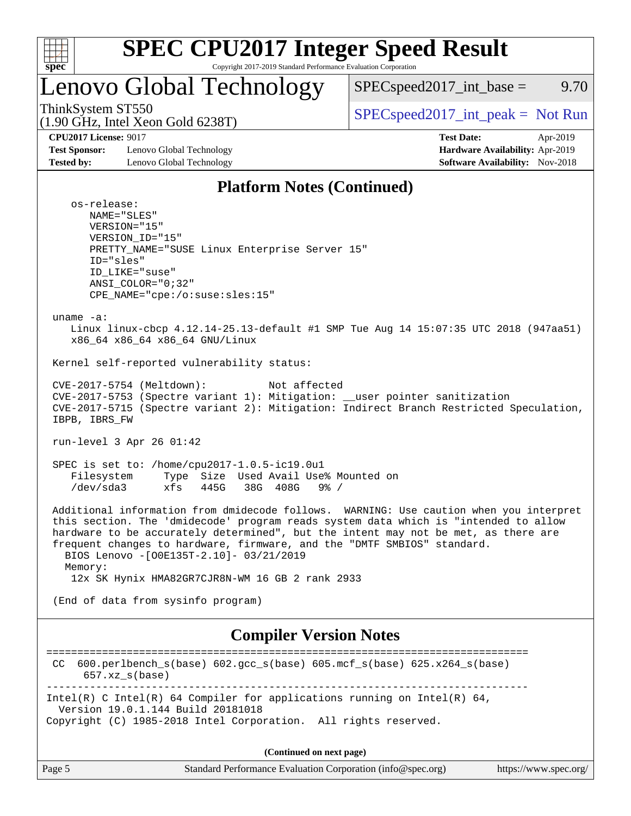

## Lenovo Global Technology

 $SPEC speed2017\_int\_base =$  9.70

(1.90 GHz, Intel Xeon Gold 6238T)

ThinkSystem ST550  $SPEC speed2017\_int\_peak = Not Run$ 

**[Test Sponsor:](http://www.spec.org/auto/cpu2017/Docs/result-fields.html#TestSponsor)** Lenovo Global Technology **[Hardware Availability:](http://www.spec.org/auto/cpu2017/Docs/result-fields.html#HardwareAvailability)** Apr-2019 **[Tested by:](http://www.spec.org/auto/cpu2017/Docs/result-fields.html#Testedby)** Lenovo Global Technology **[Software Availability:](http://www.spec.org/auto/cpu2017/Docs/result-fields.html#SoftwareAvailability)** Nov-2018

**[CPU2017 License:](http://www.spec.org/auto/cpu2017/Docs/result-fields.html#CPU2017License)** 9017 **[Test Date:](http://www.spec.org/auto/cpu2017/Docs/result-fields.html#TestDate)** Apr-2019

## **[Platform Notes \(Continued\)](http://www.spec.org/auto/cpu2017/Docs/result-fields.html#PlatformNotes)**

 os-release: NAME="SLES" VERSION="15" VERSION\_ID="15" PRETTY\_NAME="SUSE Linux Enterprise Server 15" ID="sles" ID\_LIKE="suse" ANSI\_COLOR="0;32" CPE\_NAME="cpe:/o:suse:sles:15" uname -a: Linux linux-cbcp 4.12.14-25.13-default #1 SMP Tue Aug 14 15:07:35 UTC 2018 (947aa51) x86\_64 x86\_64 x86\_64 GNU/Linux Kernel self-reported vulnerability status: CVE-2017-5754 (Meltdown): Not affected CVE-2017-5753 (Spectre variant 1): Mitigation: \_\_user pointer sanitization CVE-2017-5715 (Spectre variant 2): Mitigation: Indirect Branch Restricted Speculation, IBPB, IBRS\_FW run-level 3 Apr 26 01:42 SPEC is set to: /home/cpu2017-1.0.5-ic19.0u1 Filesystem Type Size Used Avail Use% Mounted on /dev/sda3 xfs 445G 38G 408G 9% / Additional information from dmidecode follows. WARNING: Use caution when you interpret this section. The 'dmidecode' program reads system data which is "intended to allow hardware to be accurately determined", but the intent may not be met, as there are frequent changes to hardware, firmware, and the "DMTF SMBIOS" standard. BIOS Lenovo -[O0E135T-2.10]- 03/21/2019 Memory: 12x SK Hynix HMA82GR7CJR8N-WM 16 GB 2 rank 2933 (End of data from sysinfo program)

## **[Compiler Version Notes](http://www.spec.org/auto/cpu2017/Docs/result-fields.html#CompilerVersionNotes)**

============================================================================== CC 600.perlbench\_s(base) 602.gcc\_s(base) 605.mcf\_s(base) 625.x264\_s(base) 657.xz\_s(base) ------------------------------------------------------------------------------ Intel(R) C Intel(R) 64 Compiler for applications running on Intel(R)  $64$ , Version 19.0.1.144 Build 20181018 Copyright (C) 1985-2018 Intel Corporation. All rights reserved. **(Continued on next page)**

| Page 5 | Standard Performance Evaluation Corporation (info@spec.org) | https://www.spec.org/ |
|--------|-------------------------------------------------------------|-----------------------|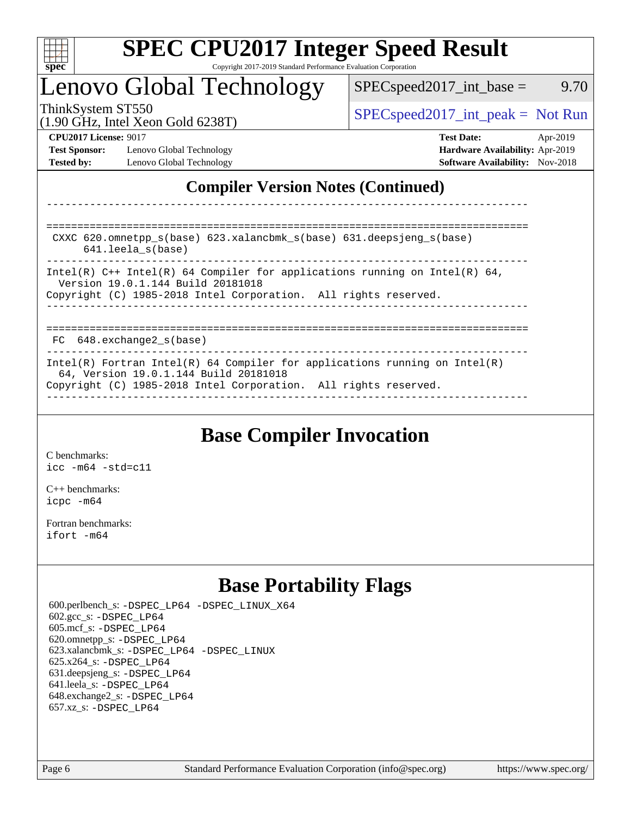

## Lenovo Global Technology

ThinkSystem ST550  $SPEC speed2017\_int\_peak = Not Run$  $SPEC speed2017\_int\_base =$  9.70

(1.90 GHz, Intel Xeon Gold 6238T)

**[Test Sponsor:](http://www.spec.org/auto/cpu2017/Docs/result-fields.html#TestSponsor)** Lenovo Global Technology **[Hardware Availability:](http://www.spec.org/auto/cpu2017/Docs/result-fields.html#HardwareAvailability)** Apr-2019 **[Tested by:](http://www.spec.org/auto/cpu2017/Docs/result-fields.html#Testedby)** Lenovo Global Technology **[Software Availability:](http://www.spec.org/auto/cpu2017/Docs/result-fields.html#SoftwareAvailability)** Nov-2018

**[CPU2017 License:](http://www.spec.org/auto/cpu2017/Docs/result-fields.html#CPU2017License)** 9017 **[Test Date:](http://www.spec.org/auto/cpu2017/Docs/result-fields.html#TestDate)** Apr-2019

## **[Compiler Version Notes \(Continued\)](http://www.spec.org/auto/cpu2017/Docs/result-fields.html#CompilerVersionNotes)**

============================================================================== CXXC 620.omnetpp\_s(base) 623.xalancbmk\_s(base) 631.deepsjeng\_s(base) 641.leela\_s(base) ------------------------------------------------------------------------------ Intel(R)  $C_{++}$  Intel(R) 64 Compiler for applications running on Intel(R) 64, Version 19.0.1.144 Build 20181018 Copyright (C) 1985-2018 Intel Corporation. All rights reserved. ------------------------------------------------------------------------------ ============================================================================== FC 648.exchange2 s(base) ------------------------------------------------------------------------------ Intel(R) Fortran Intel(R) 64 Compiler for applications running on Intel(R) 64, Version 19.0.1.144 Build 20181018 Copyright (C) 1985-2018 Intel Corporation. All rights reserved. ------------------------------------------------------------------------------

------------------------------------------------------------------------------

## **[Base Compiler Invocation](http://www.spec.org/auto/cpu2017/Docs/result-fields.html#BaseCompilerInvocation)**

[C benchmarks](http://www.spec.org/auto/cpu2017/Docs/result-fields.html#Cbenchmarks): [icc -m64 -std=c11](http://www.spec.org/cpu2017/results/res2019q2/cpu2017-20190429-13151.flags.html#user_CCbase_intel_icc_64bit_c11_33ee0cdaae7deeeab2a9725423ba97205ce30f63b9926c2519791662299b76a0318f32ddfffdc46587804de3178b4f9328c46fa7c2b0cd779d7a61945c91cd35)

[C++ benchmarks:](http://www.spec.org/auto/cpu2017/Docs/result-fields.html#CXXbenchmarks) [icpc -m64](http://www.spec.org/cpu2017/results/res2019q2/cpu2017-20190429-13151.flags.html#user_CXXbase_intel_icpc_64bit_4ecb2543ae3f1412ef961e0650ca070fec7b7afdcd6ed48761b84423119d1bf6bdf5cad15b44d48e7256388bc77273b966e5eb805aefd121eb22e9299b2ec9d9)

[Fortran benchmarks](http://www.spec.org/auto/cpu2017/Docs/result-fields.html#Fortranbenchmarks): [ifort -m64](http://www.spec.org/cpu2017/results/res2019q2/cpu2017-20190429-13151.flags.html#user_FCbase_intel_ifort_64bit_24f2bb282fbaeffd6157abe4f878425411749daecae9a33200eee2bee2fe76f3b89351d69a8130dd5949958ce389cf37ff59a95e7a40d588e8d3a57e0c3fd751)

## **[Base Portability Flags](http://www.spec.org/auto/cpu2017/Docs/result-fields.html#BasePortabilityFlags)**

 600.perlbench\_s: [-DSPEC\\_LP64](http://www.spec.org/cpu2017/results/res2019q2/cpu2017-20190429-13151.flags.html#b600.perlbench_s_basePORTABILITY_DSPEC_LP64) [-DSPEC\\_LINUX\\_X64](http://www.spec.org/cpu2017/results/res2019q2/cpu2017-20190429-13151.flags.html#b600.perlbench_s_baseCPORTABILITY_DSPEC_LINUX_X64) 602.gcc\_s: [-DSPEC\\_LP64](http://www.spec.org/cpu2017/results/res2019q2/cpu2017-20190429-13151.flags.html#suite_basePORTABILITY602_gcc_s_DSPEC_LP64) 605.mcf\_s: [-DSPEC\\_LP64](http://www.spec.org/cpu2017/results/res2019q2/cpu2017-20190429-13151.flags.html#suite_basePORTABILITY605_mcf_s_DSPEC_LP64) 620.omnetpp\_s: [-DSPEC\\_LP64](http://www.spec.org/cpu2017/results/res2019q2/cpu2017-20190429-13151.flags.html#suite_basePORTABILITY620_omnetpp_s_DSPEC_LP64) 623.xalancbmk\_s: [-DSPEC\\_LP64](http://www.spec.org/cpu2017/results/res2019q2/cpu2017-20190429-13151.flags.html#suite_basePORTABILITY623_xalancbmk_s_DSPEC_LP64) [-DSPEC\\_LINUX](http://www.spec.org/cpu2017/results/res2019q2/cpu2017-20190429-13151.flags.html#b623.xalancbmk_s_baseCXXPORTABILITY_DSPEC_LINUX) 625.x264\_s: [-DSPEC\\_LP64](http://www.spec.org/cpu2017/results/res2019q2/cpu2017-20190429-13151.flags.html#suite_basePORTABILITY625_x264_s_DSPEC_LP64) 631.deepsjeng\_s: [-DSPEC\\_LP64](http://www.spec.org/cpu2017/results/res2019q2/cpu2017-20190429-13151.flags.html#suite_basePORTABILITY631_deepsjeng_s_DSPEC_LP64) 641.leela\_s: [-DSPEC\\_LP64](http://www.spec.org/cpu2017/results/res2019q2/cpu2017-20190429-13151.flags.html#suite_basePORTABILITY641_leela_s_DSPEC_LP64) 648.exchange2\_s: [-DSPEC\\_LP64](http://www.spec.org/cpu2017/results/res2019q2/cpu2017-20190429-13151.flags.html#suite_basePORTABILITY648_exchange2_s_DSPEC_LP64) 657.xz\_s: [-DSPEC\\_LP64](http://www.spec.org/cpu2017/results/res2019q2/cpu2017-20190429-13151.flags.html#suite_basePORTABILITY657_xz_s_DSPEC_LP64)